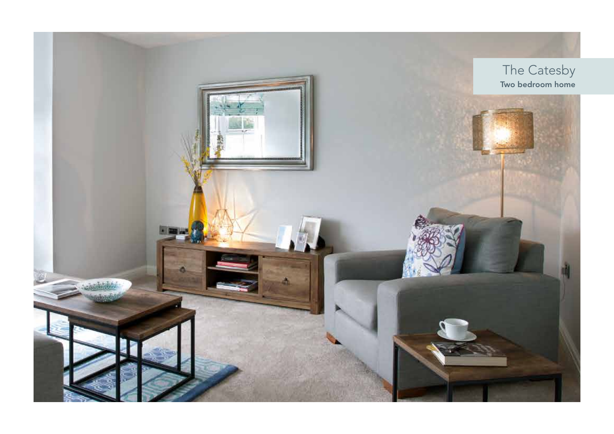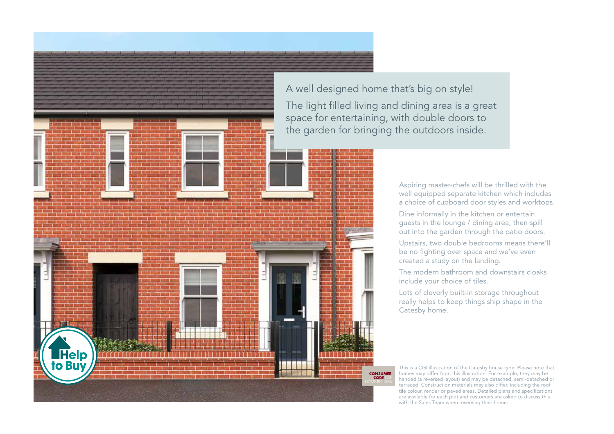A well designed home that's big on style! The light filled living and dining area is a great space for entertaining, with double doors to the garden for bringing the outdoors inside.

> Aspiring master-chefs will be thrilled with the well equipped separate kitchen which includes a choice of cupboard door styles and worktops.

Dine informally in the kitchen or entertain guests in the lounge / dining area, then spill out into the garden through the patio doors.

Upstairs, two double bedrooms means there'll be no fighting over space and we've even created a study on the landing.

The modern bathroom and downstairs cloaks include your choice of tiles.

Lots of cleverly built-in storage throughout really helps to keep things ship shape in the Catesby home.

This is a CGI illustration of the Catesby house type. Please note that homes may differ from this illustration. For example, they may be handed (a reversed layout) and may be detached, semi-detached or terraced. Construction materials may also differ, including the roof tile colour, render or paved areas. Detailed plans and specifications are available for each plot and customers are asked to discuss this with the Sales Team when reserving their home.

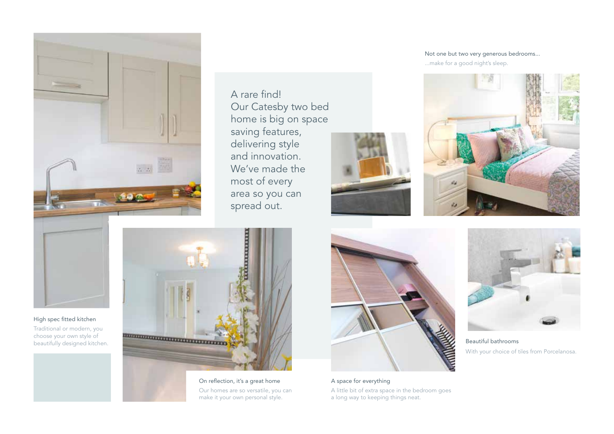

A rare find! Our Catesby two bed home is big on space saving features, delivering style and innovation. We've made the most of every area so you can spread out.



Not one but two very generous bedrooms... ...make for a good night's sleep.





High spec fitted kitchen

Traditional or modern, you choose your own style of beautifully designed kitchen.



On reflection, it's a great home Our homes are so versatile, you can make it your own personal style.



A space for everything A little bit of extra space in the bedroom goes a long way to keeping things neat.



Beautiful bathrooms With your choice of tiles from Porcelanosa.